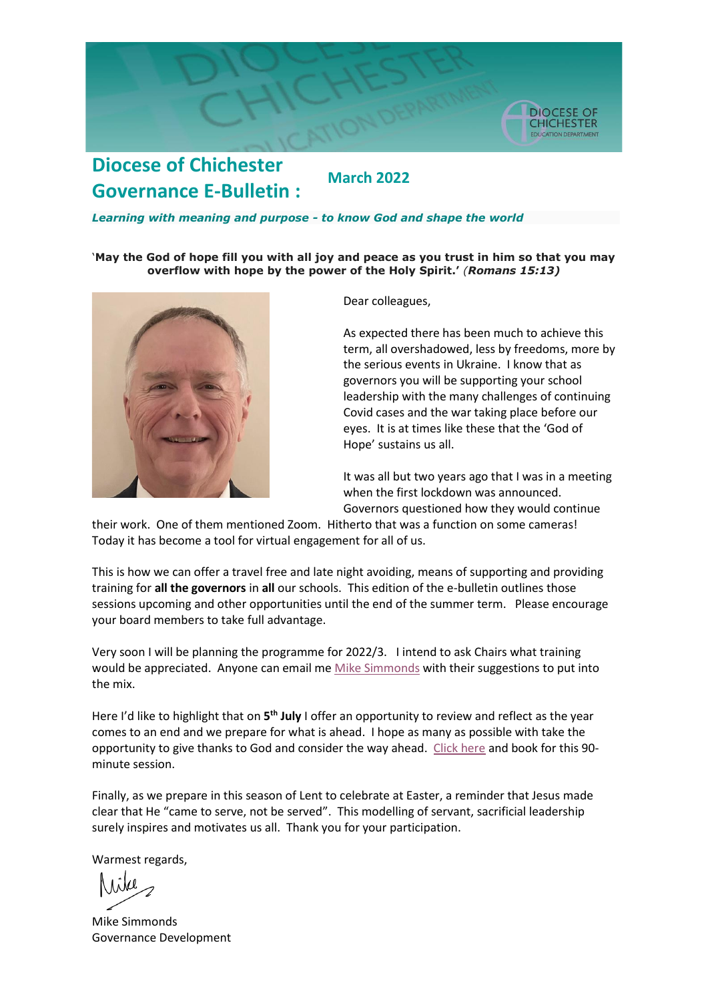

# **Diocese of Chichester March <sup>2022</sup> Governance E-Bulletin :**

#### *Learning with meaning and purpose - to know God and shape the world*

'**May the God of hope fill you with all joy and peace as you trust in him so that you may overflow with hope by the power of the Holy Spirit.'** *(Romans 15:13)*



Dear colleagues,

As expected there has been much to achieve this term, all overshadowed, less by freedoms, more by the serious events in Ukraine. I know that as governors you will be supporting your school leadership with the many challenges of continuing Covid cases and the war taking place before our eyes. It is at times like these that the 'God of Hope' sustains us all.

It was all but two years ago that I was in a meeting when the first lockdown was announced. Governors questioned how they would continue

their work. One of them mentioned Zoom. Hitherto that was a function on some cameras! Today it has become a tool for virtual engagement for all of us.

This is how we can offer a travel free and late night avoiding, means of supporting and providing training for **all the governors** in **all** our schools. This edition of the e-bulletin outlines those sessions upcoming and other opportunities until the end of the summer term. Please encourage your board members to take full advantage.

Very soon I will be planning the programme for 2022/3. I intend to ask Chairs what training would be appreciated. Anyone can email me [Mike Simmonds](mailto:mike.simmonds@chichester.anglican.org) with their suggestions to put into the mix.

Here I'd like to highlight that on 5<sup>th</sup> July I offer an opportunity to review and reflect as the year comes to an end and we prepare for what is ahead. I hope as many as possible with take the opportunity to give thanks to God and consider the way ahead. [Click here](https://www.eventbrite.co.uk/e/review-and-refresh-tickets-227683325957?aff=ebdsoporgprofile) and book for this 90 minute session.

Finally, as we prepare in this season of Lent to celebrate at Easter, a reminder that Jesus made clear that He "came to serve, not be served". This modelling of servant, sacrificial leadership surely inspires and motivates us all. Thank you for your participation.

Warmest regards,

Mike Simmonds Governance Development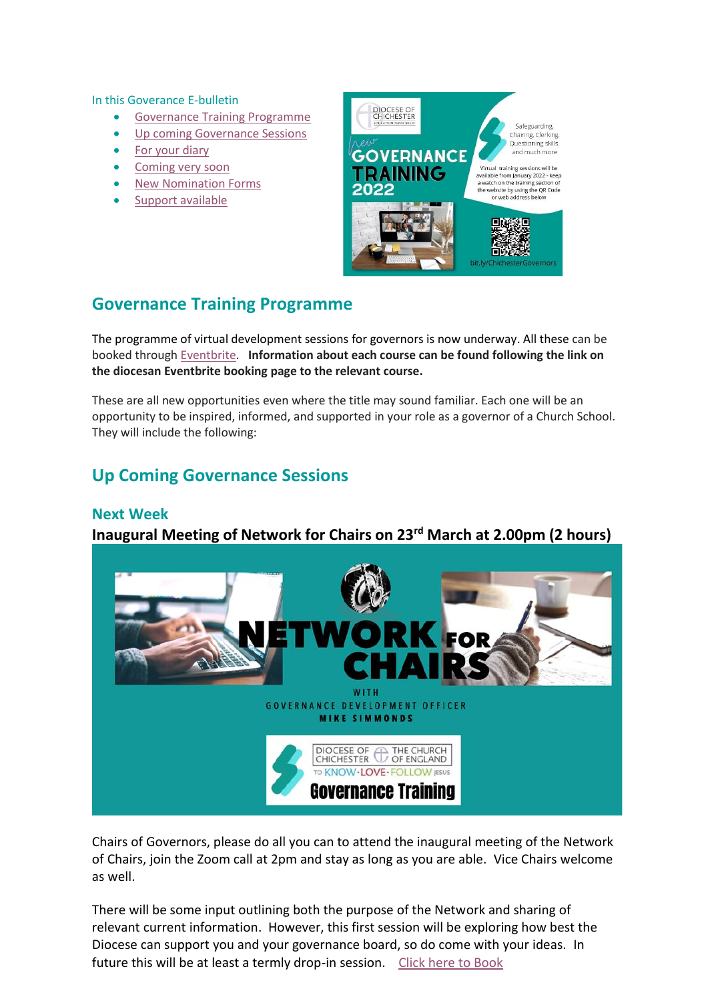#### In this Goverance E-bulletin

- [Governance Training](#page-1-0) Programme
- [Up coming Governance Sessions](#page-1-1)
- [For your diary](#page-2-0)
- [Coming very soon](#page-4-0)
- [New Nomination Forms](#page-4-1)
- [Support available](#page-4-2)



### <span id="page-1-0"></span>**Governance Training Programme**

The programme of virtual development sessions for governors is now underway. All these can be booked through [Eventbrite.](https://www.eventbrite.co.uk/o/diocese-of-chichester-education-department-18307270070) **Information about each course can be found following the link on the diocesan Eventbrite booking page to the relevant course.**

These are all new opportunities even where the title may sound familiar. Each one will be an opportunity to be inspired, informed, and supported in your role as a governor of a Church School. They will include the following:

## <span id="page-1-1"></span>**Up Coming Governance Sessions**

### **Next Week**

## **Inaugural Meeting of Network for Chairs on 23rd March at 2.00pm (2 hours)**



Chairs of Governors, please do all you can to attend the inaugural meeting of the Network of Chairs, join the Zoom call at 2pm and stay as long as you are able. Vice Chairs welcome as well.

There will be some input outlining both the purpose of the Network and sharing of relevant current information. However, this first session will be exploring how best the Diocese can support you and your governance board, so do come with your ideas. In future this will be at least a termly drop-in session. [Click here to Book](https://www.eventbrite.co.uk/e/network-for-chairs-tickets-227023632797?aff=ebdsoporgprofile)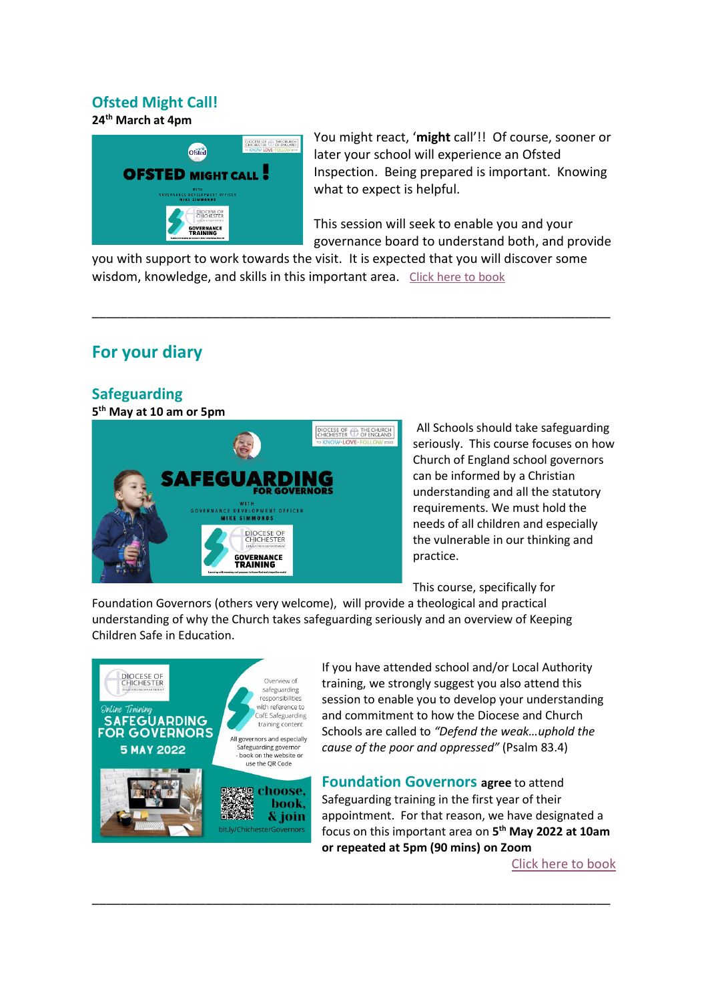### **Ofsted Might Call!**

### **24th March at 4pm**



You might react, '**might** call'!! Of course, sooner or later your school will experience an Ofsted Inspection. Being prepared is important. Knowing what to expect is helpful.

This session will seek to enable you and your governance board to understand both, and provide

you with support to work towards the visit. It is expected that you will discover some wisdom, knowledge, and skills in this important area. [Click here to book](https://www.eventbrite.co.uk/e/ofsted-for-governors-tickets-227711520287?aff=ebdsoporgprofile)

\_\_\_\_\_\_\_\_\_\_\_\_\_\_\_\_\_\_\_\_\_\_\_\_\_\_\_\_\_\_\_\_\_\_\_\_\_\_\_\_\_\_\_\_\_\_\_\_\_\_\_\_\_\_\_\_\_\_\_\_\_\_\_\_\_\_\_\_\_\_\_\_\_

## <span id="page-2-0"></span>**For your diary**

### **Safeguarding**

**5 th May at 10 am or 5pm**



All Schools should take safeguarding seriously. This course focuses on how Church of England school governors can be informed by a Christian understanding and all the statutory requirements. We must hold the needs of all children and especially the vulnerable in our thinking and practice.

This course, specifically for

Foundation Governors (others very welcome), will provide a theological and practical understanding of why the Church takes safeguarding seriously and an overview of Keeping Children Safe in Education.

\_\_\_\_\_\_\_\_\_\_\_\_\_\_\_\_\_\_\_\_\_\_\_\_\_\_\_\_\_\_\_\_\_\_\_\_\_\_\_\_\_\_\_\_\_\_\_\_\_\_\_\_\_\_\_\_\_\_\_\_\_\_\_\_\_\_\_\_\_\_\_\_\_



If you have attended school and/or Local Authority training, we strongly suggest you also attend this session to enable you to develop your understanding and commitment to how the Diocese and Church Schools are called to *"Defend the weak…uphold the cause of the poor and oppressed"* (Psalm 83.4)

**Foundation Governors agree** to attend Safeguarding training in the first year of their appointment. For that reason, we have designated a focus on this important area on **5 th May 2022 at 10am or repeated at 5pm (90 mins) on Zoom**

[Click here to book](https://www.eventbrite.co.uk/e/safeguarding-for-governors-tickets-226988999207?aff=ebdsoporgprofile)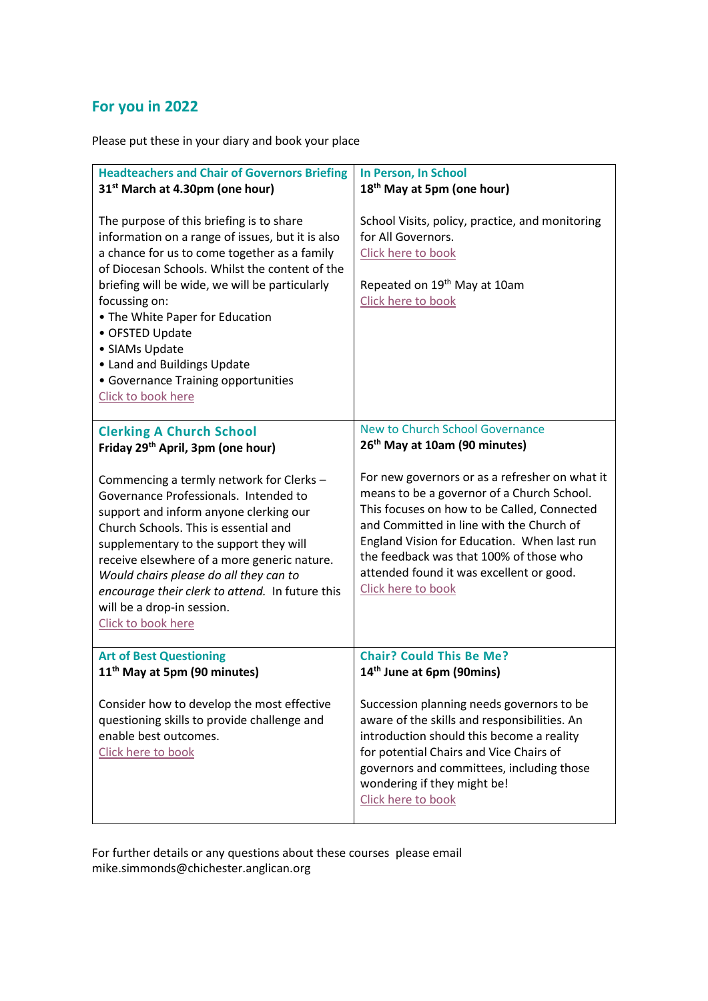## **For you in 2022**

Please put these in your diary and book your place

| <b>Headteachers and Chair of Governors Briefing</b><br>31 <sup>st</sup> March at 4.30pm (one hour)<br>The purpose of this briefing is to share<br>information on a range of issues, but it is also<br>a chance for us to come together as a family<br>of Diocesan Schools. Whilst the content of the<br>briefing will be wide, we will be particularly<br>focussing on:<br>• The White Paper for Education<br>• OFSTED Update<br>• SIAMs Update<br>• Land and Buildings Update<br>• Governance Training opportunities<br>Click to book here | In Person, In School<br>18 <sup>th</sup> May at 5pm (one hour)<br>School Visits, policy, practice, and monitoring<br>for All Governors.<br>Click here to book<br>Repeated on 19 <sup>th</sup> May at 10am<br>Click here to book                                                                                                                                                                                                     |
|---------------------------------------------------------------------------------------------------------------------------------------------------------------------------------------------------------------------------------------------------------------------------------------------------------------------------------------------------------------------------------------------------------------------------------------------------------------------------------------------------------------------------------------------|-------------------------------------------------------------------------------------------------------------------------------------------------------------------------------------------------------------------------------------------------------------------------------------------------------------------------------------------------------------------------------------------------------------------------------------|
| <b>Clerking A Church School</b><br>Friday 29 <sup>th</sup> April, 3pm (one hour)<br>Commencing a termly network for Clerks -<br>Governance Professionals. Intended to<br>support and inform anyone clerking our<br>Church Schools. This is essential and<br>supplementary to the support they will<br>receive elsewhere of a more generic nature.<br>Would chairs please do all they can to<br>encourage their clerk to attend. In future this<br>will be a drop-in session.<br>Click to book here                                          | New to Church School Governance<br>26 <sup>th</sup> May at 10am (90 minutes)<br>For new governors or as a refresher on what it<br>means to be a governor of a Church School.<br>This focuses on how to be Called, Connected<br>and Committed in line with the Church of<br>England Vision for Education. When last run<br>the feedback was that 100% of those who<br>attended found it was excellent or good.<br>Click here to book |
| <b>Art of Best Questioning</b><br>11 <sup>th</sup> May at 5pm (90 minutes)<br>Consider how to develop the most effective<br>questioning skills to provide challenge and<br>enable best outcomes.<br>Click here to book                                                                                                                                                                                                                                                                                                                      | <b>Chair? Could This Be Me?</b><br>14 <sup>th</sup> June at 6pm (90mins)<br>Succession planning needs governors to be<br>aware of the skills and responsibilities. An<br>introduction should this become a reality<br>for potential Chairs and Vice Chairs of<br>governors and committees, including those<br>wondering if they might be!<br>Click here to book                                                                     |

For further details or any questions about these courses please email mike.simmonds@chichester.anglican.org